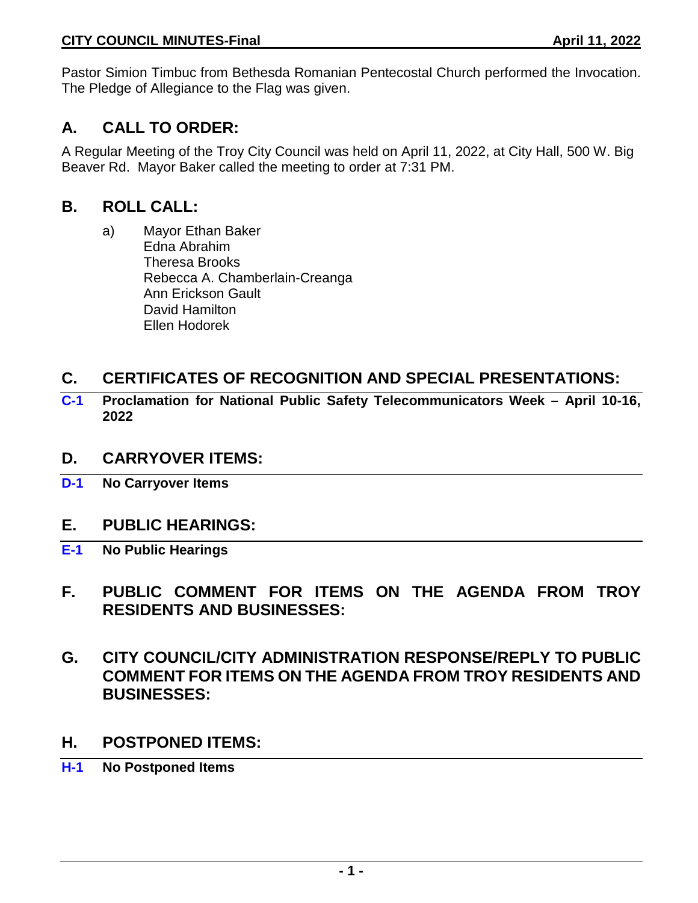Pastor Simion Timbuc from Bethesda Romanian Pentecostal Church performed the Invocation. The Pledge of Allegiance to the Flag was given.

# **A. CALL TO ORDER:**

A Regular Meeting of the Troy City Council was held on April 11, 2022, at City Hall, 500 W. Big Beaver Rd. Mayor Baker called the meeting to order at 7:31 PM.

# **B. ROLL CALL:**

a) Mayor Ethan Baker Edna Abrahim Theresa Brooks Rebecca A. Chamberlain-Creanga Ann Erickson Gault David Hamilton Ellen Hodorek

# **C. CERTIFICATES OF RECOGNITION AND SPECIAL PRESENTATIONS:**

**C-1 Proclamation for National Public Safety Telecommunicators Week – April 10-16, 2022**

# **D. CARRYOVER ITEMS:**

**D-1 No Carryover Items**

# **E. PUBLIC HEARINGS:**

- **E-1 No Public Hearings**
- **F. PUBLIC COMMENT FOR ITEMS ON THE AGENDA FROM TROY RESIDENTS AND BUSINESSES:**
- **G. CITY COUNCIL/CITY ADMINISTRATION RESPONSE/REPLY TO PUBLIC COMMENT FOR ITEMS ON THE AGENDA FROM TROY RESIDENTS AND BUSINESSES:**
- **H. POSTPONED ITEMS:**
- **H-1 No Postponed Items**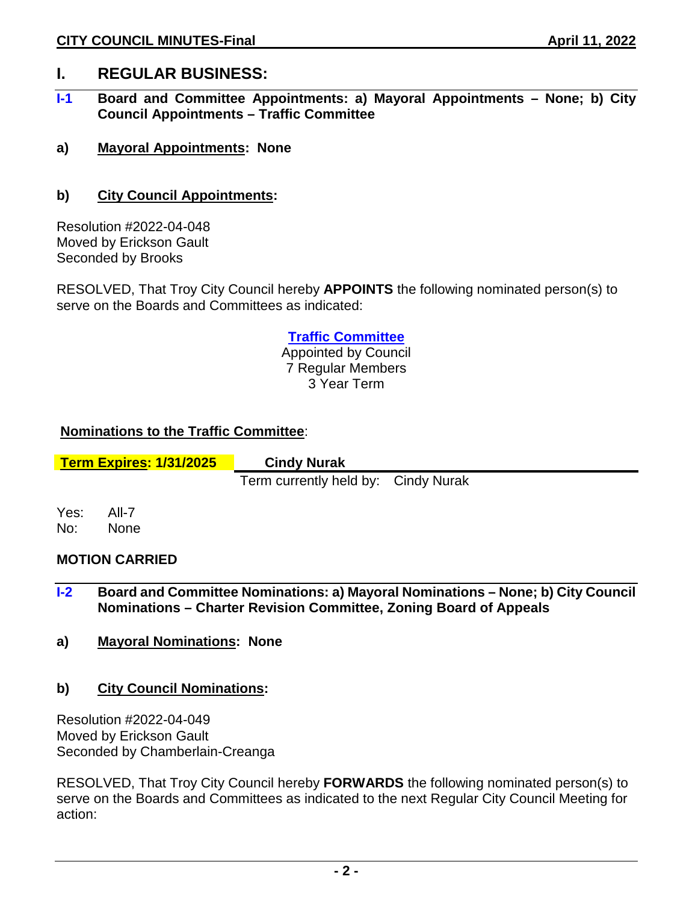# **I. REGULAR BUSINESS:**

- **I-1 Board and Committee Appointments: a) Mayoral Appointments – None; b) City Council Appointments – Traffic Committee**
- **a) Mayoral Appointments: None**
- **b) City Council Appointments:**

Resolution #2022-04-048 Moved by Erickson Gault Seconded by Brooks

RESOLVED, That Troy City Council hereby **APPOINTS** the following nominated person(s) to serve on the Boards and Committees as indicated:

## **Traffic Committee**

Appointed by Council 7 Regular Members 3 Year Term

## **Nominations to the Traffic Committee**:

**Term Expires: 1/31/2025 Cindy Nurak**

Term currently held by: Cindy Nurak

Yes: All-7 No: None

### **MOTION CARRIED**

- **I-2 Board and Committee Nominations: a) Mayoral Nominations – None; b) City Council Nominations – Charter Revision Committee, Zoning Board of Appeals**
- **a) Mayoral Nominations: None**
- **b) City Council Nominations:**

Resolution #2022-04-049 Moved by Erickson Gault Seconded by Chamberlain-Creanga

RESOLVED, That Troy City Council hereby **FORWARDS** the following nominated person(s) to serve on the Boards and Committees as indicated to the next Regular City Council Meeting for action: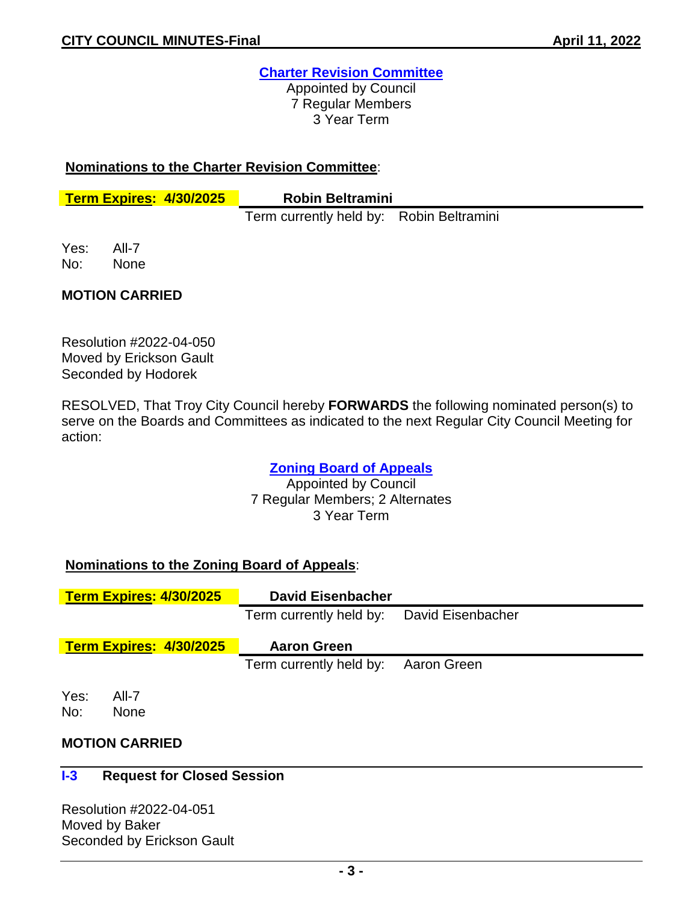# **Charter Revision Committee**

Appointed by Council 7 Regular Members 3 Year Term

### **Nominations to the Charter Revision Committee**:

**Term Expires: 4/30/2025 Robin Beltramini**

Term currently held by: Robin Beltramini

Yes: All-7 No: None

## **MOTION CARRIED**

Resolution #2022-04-050 Moved by Erickson Gault Seconded by Hodorek

RESOLVED, That Troy City Council hereby **FORWARDS** the following nominated person(s) to serve on the Boards and Committees as indicated to the next Regular City Council Meeting for action:

# **Zoning Board of Appeals**

Appointed by Council 7 Regular Members; 2 Alternates 3 Year Term

# **Nominations to the Zoning Board of Appeals**:

|                                | <b>Term Expires: 4/30/2025</b> | <b>David Eisenbacher</b>                  |             |  |
|--------------------------------|--------------------------------|-------------------------------------------|-------------|--|
|                                |                                | Term currently held by: David Eisenbacher |             |  |
| <b>Term Expires: 4/30/2025</b> |                                | <b>Aaron Green</b>                        |             |  |
|                                |                                | Term currently held by:                   | Aaron Green |  |
| Yes:<br>No:                    | All-7<br><b>None</b>           |                                           |             |  |

# **MOTION CARRIED**

### **I-3 Request for Closed Session**

Resolution #2022-04-051 Moved by Baker Seconded by Erickson Gault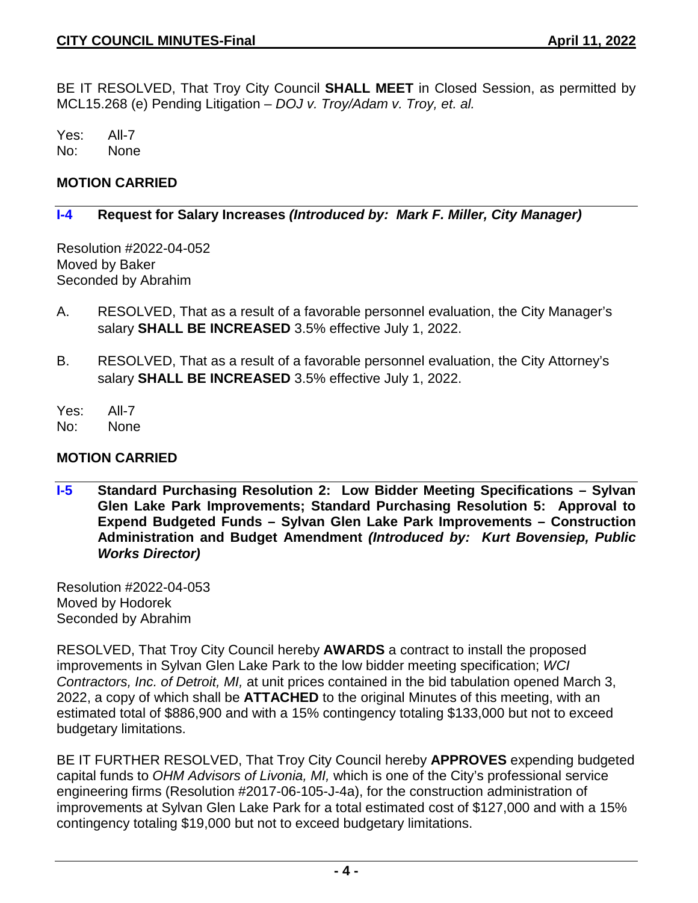BE IT RESOLVED, That Troy City Council **SHALL MEET** in Closed Session, as permitted by MCL15.268 (e) Pending Litigation – *DOJ v. Troy/Adam v. Troy, et. al.*

Yes: All-7 No: None

#### **MOTION CARRIED**

#### **I-4 Request for Salary Increases** *(Introduced by: Mark F. Miller, City Manager)*

Resolution #2022-04-052 Moved by Baker Seconded by Abrahim

- A. RESOLVED, That as a result of a favorable personnel evaluation, the City Manager's salary **SHALL BE INCREASED** 3.5% effective July 1, 2022.
- B. RESOLVED, That as a result of a favorable personnel evaluation, the City Attorney's salary **SHALL BE INCREASED** 3.5% effective July 1, 2022.
- Yes: All-7
- No: None

### **MOTION CARRIED**

**I-5 Standard Purchasing Resolution 2: Low Bidder Meeting Specifications – Sylvan Glen Lake Park Improvements; Standard Purchasing Resolution 5: Approval to Expend Budgeted Funds – Sylvan Glen Lake Park Improvements – Construction Administration and Budget Amendment** *(Introduced by: Kurt Bovensiep, Public Works Director)*

Resolution #2022-04-053 Moved by Hodorek Seconded by Abrahim

RESOLVED, That Troy City Council hereby **AWARDS** a contract to install the proposed improvements in Sylvan Glen Lake Park to the low bidder meeting specification; *WCI Contractors, Inc. of Detroit, MI,* at unit prices contained in the bid tabulation opened March 3, 2022, a copy of which shall be **ATTACHED** to the original Minutes of this meeting, with an estimated total of \$886,900 and with a 15% contingency totaling \$133,000 but not to exceed budgetary limitations.

BE IT FURTHER RESOLVED, That Troy City Council hereby **APPROVES** expending budgeted capital funds to *OHM Advisors of Livonia, MI,* which is one of the City's professional service engineering firms (Resolution #2017-06-105-J-4a), for the construction administration of improvements at Sylvan Glen Lake Park for a total estimated cost of \$127,000 and with a 15% contingency totaling \$19,000 but not to exceed budgetary limitations.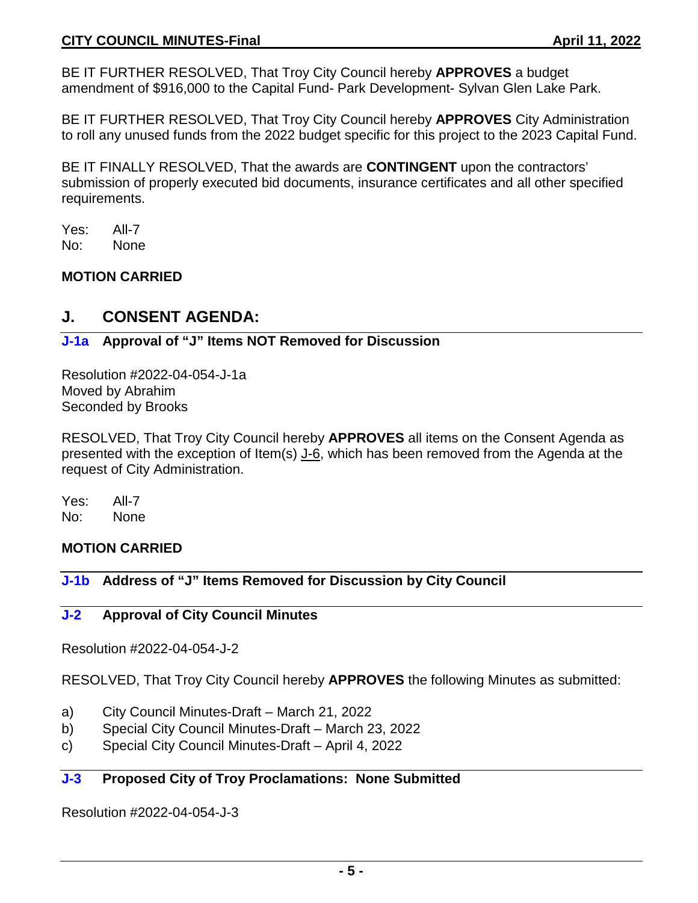BE IT FURTHER RESOLVED, That Troy City Council hereby **APPROVES** a budget amendment of \$916,000 to the Capital Fund- Park Development- Sylvan Glen Lake Park.

BE IT FURTHER RESOLVED, That Troy City Council hereby **APPROVES** City Administration to roll any unused funds from the 2022 budget specific for this project to the 2023 Capital Fund.

BE IT FINALLY RESOLVED, That the awards are **CONTINGENT** upon the contractors' submission of properly executed bid documents, insurance certificates and all other specified requirements.

Yes: All-7 No: None

## **MOTION CARRIED**

# **J. CONSENT AGENDA:**

## **J-1a Approval of "J" Items NOT Removed for Discussion**

Resolution #2022-04-054-J-1a Moved by Abrahim Seconded by Brooks

RESOLVED, That Troy City Council hereby **APPROVES** all items on the Consent Agenda as presented with the exception of Item(s) J-6, which has been removed from the Agenda at the request of City Administration.

Yes: All-7 No: None

# **MOTION CARRIED**

# **J-1b Address of "J" Items Removed for Discussion by City Council**

### **J-2 Approval of City Council Minutes**

Resolution #2022-04-054-J-2

RESOLVED, That Troy City Council hereby **APPROVES** the following Minutes as submitted:

- a) City Council Minutes-Draft March 21, 2022
- b) Special City Council Minutes-Draft March 23, 2022
- c) Special City Council Minutes-Draft April 4, 2022

# **J-3 Proposed City of Troy Proclamations: None Submitted**

Resolution #2022-04-054-J-3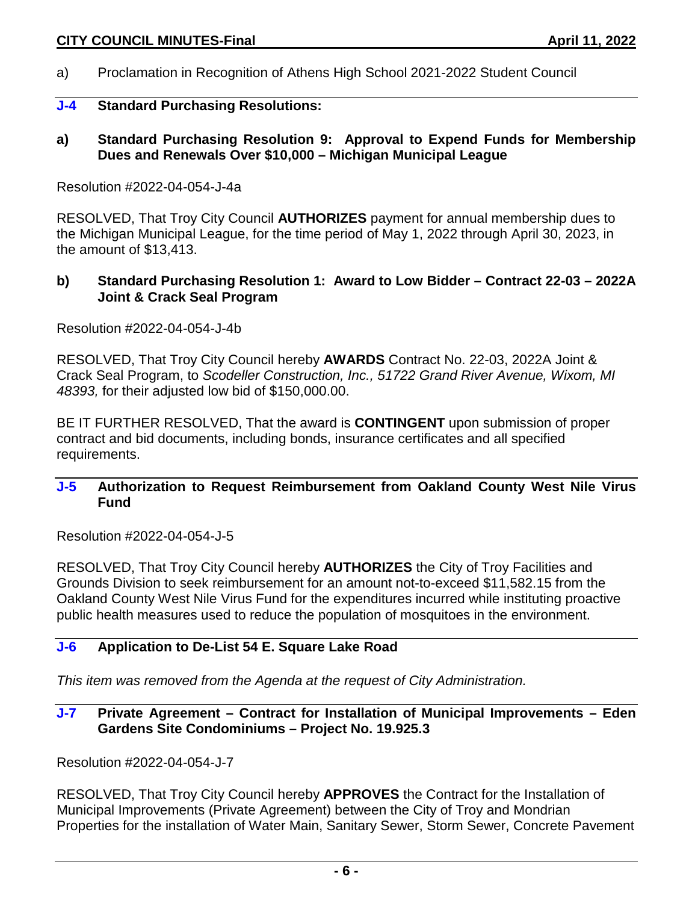a) Proclamation in Recognition of Athens High School 2021-2022 Student Council

#### **J-4 Standard Purchasing Resolutions:**

**a) Standard Purchasing Resolution 9: Approval to Expend Funds for Membership Dues and Renewals Over \$10,000 – Michigan Municipal League**

#### Resolution #2022-04-054-J-4a

RESOLVED, That Troy City Council **AUTHORIZES** payment for annual membership dues to the Michigan Municipal League, for the time period of May 1, 2022 through April 30, 2023, in the amount of \$13,413.

### **b) Standard Purchasing Resolution 1: Award to Low Bidder – Contract 22-03 – 2022A Joint & Crack Seal Program**

Resolution #2022-04-054-J-4b

RESOLVED, That Troy City Council hereby **AWARDS** Contract No. 22-03, 2022A Joint & Crack Seal Program, to *Scodeller Construction, Inc., 51722 Grand River Avenue, Wixom, MI 48393,* for their adjusted low bid of \$150,000.00.

BE IT FURTHER RESOLVED, That the award is **CONTINGENT** upon submission of proper contract and bid documents, including bonds, insurance certificates and all specified requirements.

#### **J-5 Authorization to Request Reimbursement from Oakland County West Nile Virus Fund**

Resolution #2022-04-054-J-5

RESOLVED, That Troy City Council hereby **AUTHORIZES** the City of Troy Facilities and Grounds Division to seek reimbursement for an amount not-to-exceed \$11,582.15 from the Oakland County West Nile Virus Fund for the expenditures incurred while instituting proactive public health measures used to reduce the population of mosquitoes in the environment.

# **J-6 Application to De-List 54 E. Square Lake Road**

*This item was removed from the Agenda at the request of City Administration.*

#### **J-7 Private Agreement – Contract for Installation of Municipal Improvements – Eden Gardens Site Condominiums – Project No. 19.925.3**

Resolution #2022-04-054-J-7

RESOLVED, That Troy City Council hereby **APPROVES** the Contract for the Installation of Municipal Improvements (Private Agreement) between the City of Troy and Mondrian Properties for the installation of Water Main, Sanitary Sewer, Storm Sewer, Concrete Pavement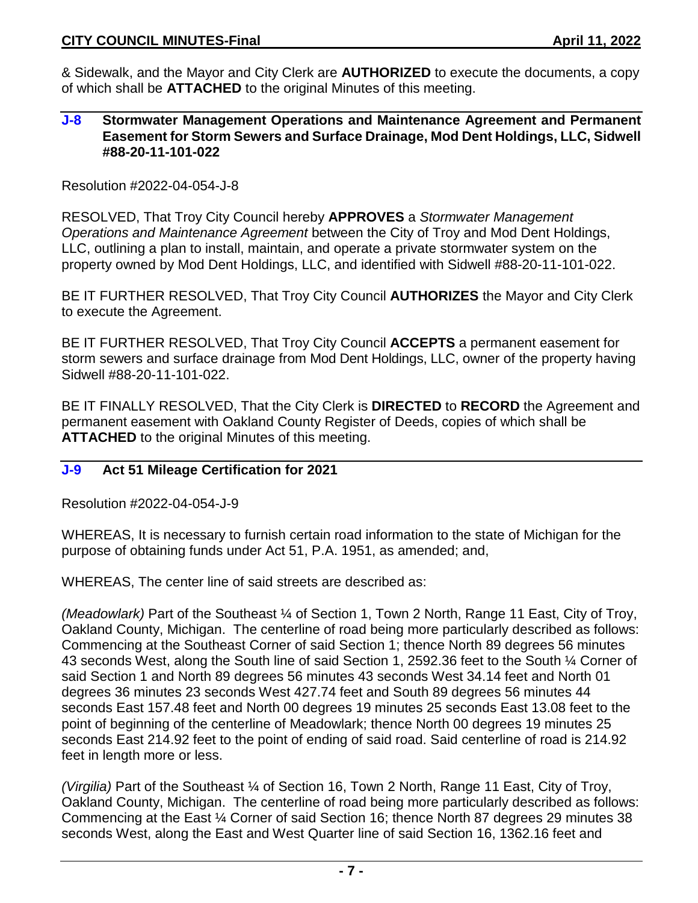& Sidewalk, and the Mayor and City Clerk are **AUTHORIZED** to execute the documents, a copy of which shall be **ATTACHED** to the original Minutes of this meeting.

#### **J-8 Stormwater Management Operations and Maintenance Agreement and Permanent Easement for Storm Sewers and Surface Drainage, Mod Dent Holdings, LLC, Sidwell #88-20-11-101-022**

Resolution #2022-04-054-J-8

RESOLVED, That Troy City Council hereby **APPROVES** a *Stormwater Management Operations and Maintenance Agreement* between the City of Troy and Mod Dent Holdings, LLC, outlining a plan to install, maintain, and operate a private stormwater system on the property owned by Mod Dent Holdings, LLC, and identified with Sidwell #88-20-11-101-022.

BE IT FURTHER RESOLVED, That Troy City Council **AUTHORIZES** the Mayor and City Clerk to execute the Agreement.

BE IT FURTHER RESOLVED, That Troy City Council **ACCEPTS** a permanent easement for storm sewers and surface drainage from Mod Dent Holdings, LLC, owner of the property having Sidwell #88-20-11-101-022.

BE IT FINALLY RESOLVED, That the City Clerk is **DIRECTED** to **RECORD** the Agreement and permanent easement with Oakland County Register of Deeds, copies of which shall be **ATTACHED** to the original Minutes of this meeting.

### **J-9 Act 51 Mileage Certification for 2021**

Resolution #2022-04-054-J-9

WHEREAS, It is necessary to furnish certain road information to the state of Michigan for the purpose of obtaining funds under Act 51, P.A. 1951, as amended; and,

WHEREAS, The center line of said streets are described as:

*(Meadowlark)* Part of the Southeast ¼ of Section 1, Town 2 North, Range 11 East, City of Troy, Oakland County, Michigan. The centerline of road being more particularly described as follows: Commencing at the Southeast Corner of said Section 1; thence North 89 degrees 56 minutes 43 seconds West, along the South line of said Section 1, 2592.36 feet to the South ¼ Corner of said Section 1 and North 89 degrees 56 minutes 43 seconds West 34.14 feet and North 01 degrees 36 minutes 23 seconds West 427.74 feet and South 89 degrees 56 minutes 44 seconds East 157.48 feet and North 00 degrees 19 minutes 25 seconds East 13.08 feet to the point of beginning of the centerline of Meadowlark; thence North 00 degrees 19 minutes 25 seconds East 214.92 feet to the point of ending of said road. Said centerline of road is 214.92 feet in length more or less.

*(Virgilia)* Part of the Southeast ¼ of Section 16, Town 2 North, Range 11 East, City of Troy, Oakland County, Michigan. The centerline of road being more particularly described as follows: Commencing at the East ¼ Corner of said Section 16; thence North 87 degrees 29 minutes 38 seconds West, along the East and West Quarter line of said Section 16, 1362.16 feet and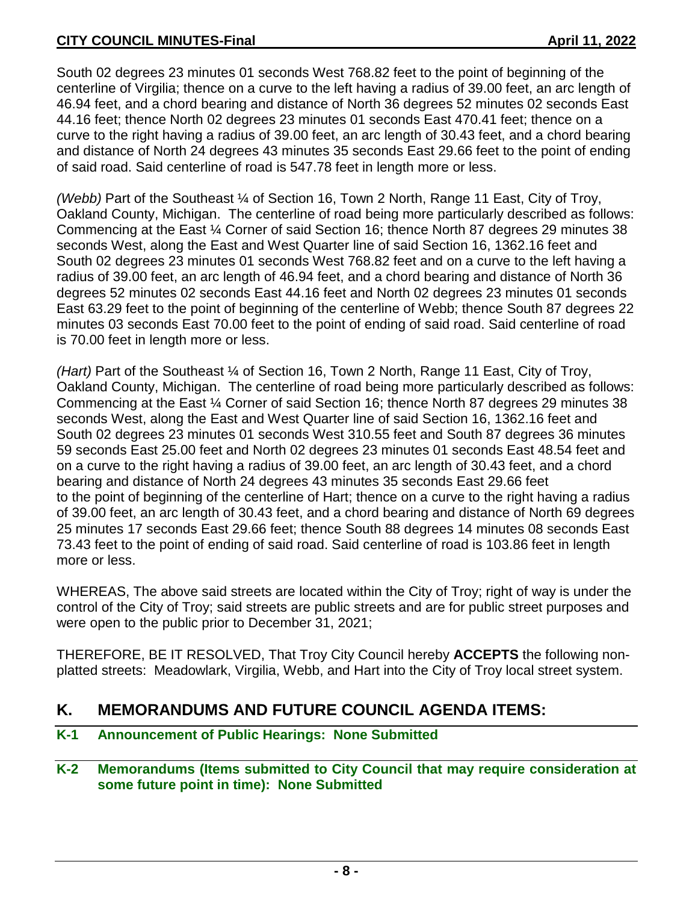South 02 degrees 23 minutes 01 seconds West 768.82 feet to the point of beginning of the centerline of Virgilia; thence on a curve to the left having a radius of 39.00 feet, an arc length of 46.94 feet, and a chord bearing and distance of North 36 degrees 52 minutes 02 seconds East 44.16 feet; thence North 02 degrees 23 minutes 01 seconds East 470.41 feet; thence on a curve to the right having a radius of 39.00 feet, an arc length of 30.43 feet, and a chord bearing and distance of North 24 degrees 43 minutes 35 seconds East 29.66 feet to the point of ending of said road. Said centerline of road is 547.78 feet in length more or less.

*(Webb)* Part of the Southeast ¼ of Section 16, Town 2 North, Range 11 East, City of Troy, Oakland County, Michigan. The centerline of road being more particularly described as follows: Commencing at the East ¼ Corner of said Section 16; thence North 87 degrees 29 minutes 38 seconds West, along the East and West Quarter line of said Section 16, 1362.16 feet and South 02 degrees 23 minutes 01 seconds West 768.82 feet and on a curve to the left having a radius of 39.00 feet, an arc length of 46.94 feet, and a chord bearing and distance of North 36 degrees 52 minutes 02 seconds East 44.16 feet and North 02 degrees 23 minutes 01 seconds East 63.29 feet to the point of beginning of the centerline of Webb; thence South 87 degrees 22 minutes 03 seconds East 70.00 feet to the point of ending of said road. Said centerline of road is 70.00 feet in length more or less.

*(Hart)* Part of the Southeast ¼ of Section 16, Town 2 North, Range 11 East, City of Troy, Oakland County, Michigan. The centerline of road being more particularly described as follows: Commencing at the East ¼ Corner of said Section 16; thence North 87 degrees 29 minutes 38 seconds West, along the East and West Quarter line of said Section 16, 1362.16 feet and South 02 degrees 23 minutes 01 seconds West 310.55 feet and South 87 degrees 36 minutes 59 seconds East 25.00 feet and North 02 degrees 23 minutes 01 seconds East 48.54 feet and on a curve to the right having a radius of 39.00 feet, an arc length of 30.43 feet, and a chord bearing and distance of North 24 degrees 43 minutes 35 seconds East 29.66 feet to the point of beginning of the centerline of Hart; thence on a curve to the right having a radius of 39.00 feet, an arc length of 30.43 feet, and a chord bearing and distance of North 69 degrees 25 minutes 17 seconds East 29.66 feet; thence South 88 degrees 14 minutes 08 seconds East 73.43 feet to the point of ending of said road. Said centerline of road is 103.86 feet in length more or less.

WHEREAS, The above said streets are located within the City of Troy; right of way is under the control of the City of Troy; said streets are public streets and are for public street purposes and were open to the public prior to December 31, 2021;

THEREFORE, BE IT RESOLVED, That Troy City Council hereby **ACCEPTS** the following nonplatted streets: Meadowlark, Virgilia, Webb, and Hart into the City of Troy local street system.

# **K. MEMORANDUMS AND FUTURE COUNCIL AGENDA ITEMS:**

**K-1 Announcement of Public Hearings: None Submitted**

# **K-2 Memorandums (Items submitted to City Council that may require consideration at some future point in time): None Submitted**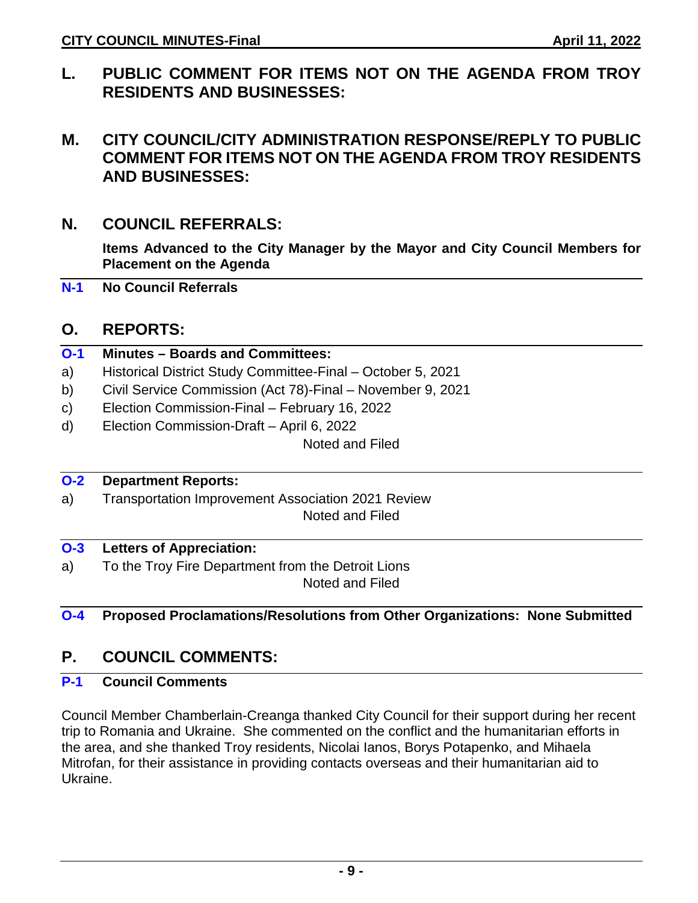**L. PUBLIC COMMENT FOR ITEMS NOT ON THE AGENDA FROM TROY RESIDENTS AND BUSINESSES:** 

# **M. CITY COUNCIL/CITY ADMINISTRATION RESPONSE/REPLY TO PUBLIC COMMENT FOR ITEMS NOT ON THE AGENDA FROM TROY RESIDENTS AND BUSINESSES:**

# **N. COUNCIL REFERRALS:**

**Items Advanced to the City Manager by the Mayor and City Council Members for Placement on the Agenda**

**N-1 No Council Referrals**

# **O. REPORTS:**

## **O-1 Minutes – Boards and Committees:**

- a) Historical District Study Committee-Final October 5, 2021
- b) Civil Service Commission (Act 78)-Final November 9, 2021
- c) Election Commission-Final February 16, 2022
- d) Election Commission-Draft April 6, 2022

Noted and Filed

# **O-2 Department Reports:**

a) Transportation Improvement Association 2021 Review Noted and Filed

### **O-3 Letters of Appreciation:**

a) To the Troy Fire Department from the Detroit Lions Noted and Filed

# **O-4 Proposed Proclamations/Resolutions from Other Organizations: None Submitted**

# **P. COUNCIL COMMENTS:**

# **P-1 Council Comments**

Council Member Chamberlain-Creanga thanked City Council for their support during her recent trip to Romania and Ukraine. She commented on the conflict and the humanitarian efforts in the area, and she thanked Troy residents, Nicolai Ianos, Borys Potapenko, and Mihaela Mitrofan, for their assistance in providing contacts overseas and their humanitarian aid to Ukraine.